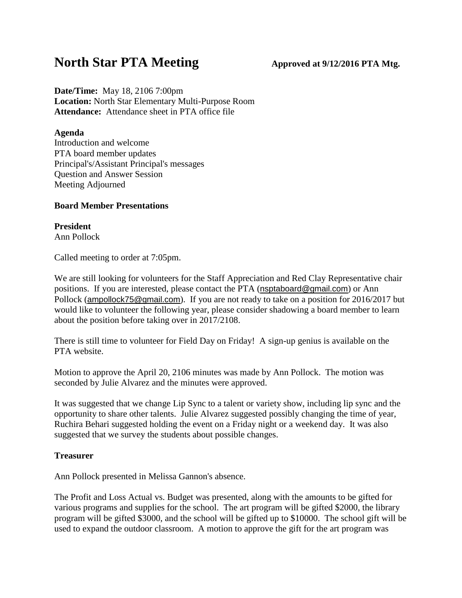# **North Star PTA Meeting Approved** at  $9/12/2016$  **PTA** Mtg.

**Date/Time:** May 18, 2106 7:00pm **Location:** North Star Elementary Multi-Purpose Room **Attendance:** Attendance sheet in PTA office file

#### **Agenda**

Introduction and welcome PTA board member updates Principal's/Assistant Principal's messages Question and Answer Session Meeting Adjourned

# **Board Member Presentations**

**President** Ann Pollock

Called meeting to order at 7:05pm.

We are still looking for volunteers for the Staff Appreciation and Red Clay Representative chair positions. If you are interested, please contact the PTA ([nsptaboard@gmail.com](mailto:nsptaboard@gmail.com)) or Ann Pollock ([ampollock75@gmail.com](mailto:ampollock75@gmail.com)). If you are not ready to take on a position for 2016/2017 but would like to volunteer the following year, please consider shadowing a board member to learn about the position before taking over in 2017/2108.

There is still time to volunteer for Field Day on Friday! A sign-up genius is available on the PTA website.

Motion to approve the April 20, 2106 minutes was made by Ann Pollock. The motion was seconded by Julie Alvarez and the minutes were approved.

It was suggested that we change Lip Sync to a talent or variety show, including lip sync and the opportunity to share other talents. Julie Alvarez suggested possibly changing the time of year, Ruchira Behari suggested holding the event on a Friday night or a weekend day. It was also suggested that we survey the students about possible changes.

# **Treasurer**

Ann Pollock presented in Melissa Gannon's absence.

The Profit and Loss Actual vs. Budget was presented, along with the amounts to be gifted for various programs and supplies for the school. The art program will be gifted \$2000, the library program will be gifted \$3000, and the school will be gifted up to \$10000. The school gift will be used to expand the outdoor classroom. A motion to approve the gift for the art program was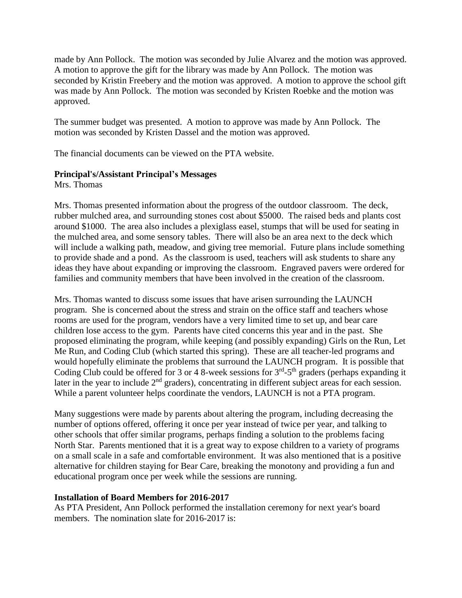made by Ann Pollock. The motion was seconded by Julie Alvarez and the motion was approved. A motion to approve the gift for the library was made by Ann Pollock. The motion was seconded by Kristin Freebery and the motion was approved. A motion to approve the school gift was made by Ann Pollock. The motion was seconded by Kristen Roebke and the motion was approved.

The summer budget was presented. A motion to approve was made by Ann Pollock. The motion was seconded by Kristen Dassel and the motion was approved.

The financial documents can be viewed on the PTA website.

# **Principal's/Assistant Principal's Messages**

Mrs. Thomas

Mrs. Thomas presented information about the progress of the outdoor classroom. The deck, rubber mulched area, and surrounding stones cost about \$5000. The raised beds and plants cost around \$1000. The area also includes a plexiglass easel, stumps that will be used for seating in the mulched area, and some sensory tables. There will also be an area next to the deck which will include a walking path, meadow, and giving tree memorial. Future plans include something to provide shade and a pond. As the classroom is used, teachers will ask students to share any ideas they have about expanding or improving the classroom. Engraved pavers were ordered for families and community members that have been involved in the creation of the classroom.

Mrs. Thomas wanted to discuss some issues that have arisen surrounding the LAUNCH program. She is concerned about the stress and strain on the office staff and teachers whose rooms are used for the program, vendors have a very limited time to set up, and bear care children lose access to the gym. Parents have cited concerns this year and in the past. She proposed eliminating the program, while keeping (and possibly expanding) Girls on the Run, Let Me Run, and Coding Club (which started this spring). These are all teacher-led programs and would hopefully eliminate the problems that surround the LAUNCH program. It is possible that Coding Club could be offered for 3 or 4 8-week sessions for  $3<sup>rd</sup> - 5<sup>th</sup>$  graders (perhaps expanding it later in the year to include 2<sup>nd</sup> graders), concentrating in different subject areas for each session. While a parent volunteer helps coordinate the vendors, LAUNCH is not a PTA program.

Many suggestions were made by parents about altering the program, including decreasing the number of options offered, offering it once per year instead of twice per year, and talking to other schools that offer similar programs, perhaps finding a solution to the problems facing North Star. Parents mentioned that it is a great way to expose children to a variety of programs on a small scale in a safe and comfortable environment. It was also mentioned that is a positive alternative for children staying for Bear Care, breaking the monotony and providing a fun and educational program once per week while the sessions are running.

#### **Installation of Board Members for 2016-2017**

As PTA President, Ann Pollock performed the installation ceremony for next year's board members. The nomination slate for 2016-2017 is: